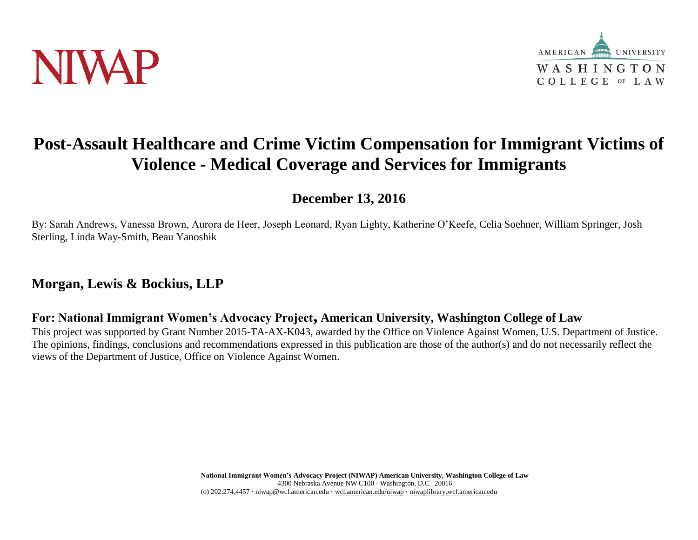



# **Post-Assault Healthcare and Crime Victim Compensation for Immigrant Victims of Violence - Medical Coverage and Services for Immigrants**

**December 13, 2016**

By: Sarah Andrews, Vanessa Brown, Aurora de Heer, Joseph Leonard, Ryan Lighty, Katherine O'Keefe, Celia Soehner, William Springer, Josh Sterling, Linda Way-Smith, Beau Yanoshik

## **Morgan, Lewis & Bockius, LLP**

**For: National Immigrant Women's Advocacy Project, American University, Washington College of Law**

This project was supported by Grant Number 2015-TA-AX-K043, awarded by the Office on Violence Against Women, U.S. Department of Justice. The opinions, findings, conclusions and recommendations expressed in this publication are those of the author(s) and do not necessarily reflect the views of the Department of Justice, Office on Violence Against Women.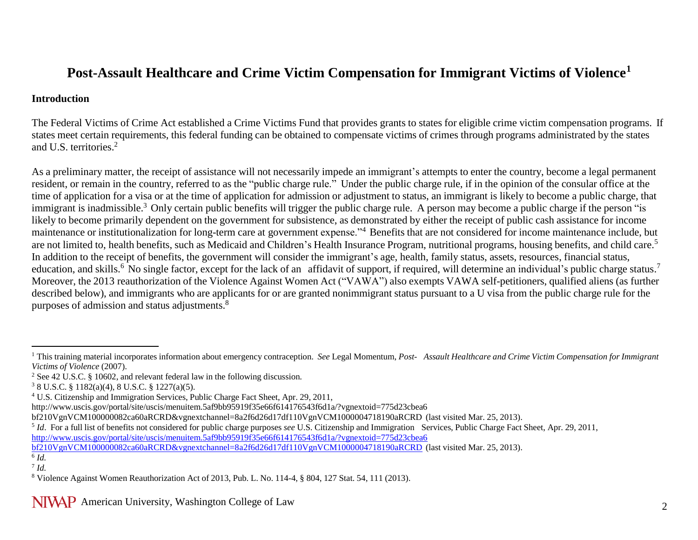# **Post-Assault Healthcare and Crime Victim Compensation for Immigrant Victims of Violence<sup>1</sup>**

#### **Introduction**

The Federal Victims of Crime Act established a Crime Victims Fund that provides grants to states for eligible crime victim compensation programs. If states meet certain requirements, this federal funding can be obtained to compensate victims of crimes through programs administrated by the states and U.S. territories.<sup>2</sup>

As a preliminary matter, the receipt of assistance will not necessarily impede an immigrant's attempts to enter the country, become a legal permanent resident, or remain in the country, referred to as the "public charge rule." Under the public charge rule, if in the opinion of the consular office at the time of application for a visa or at the time of application for admission or adjustment to status, an immigrant is likely to become a public charge, that immigrant is inadmissible.<sup>3</sup> Only certain public benefits will trigger the public charge rule. A person may become a public charge if the person "is likely to become primarily dependent on the government for subsistence, as demonstrated by either the receipt of public cash assistance for income maintenance or institutionalization for long-term care at government expense."<sup>4</sup> Benefits that are not considered for income maintenance include, but are not limited to, health benefits, such as Medicaid and Children's Health Insurance Program, nutritional programs, housing benefits, and child care.<sup>5</sup> In addition to the receipt of benefits, the government will consider the immigrant's age, health, family status, assets, resources, financial status, education, and skills.<sup>6</sup> No single factor, except for the lack of an affidavit of support, if required, will determine an individual's public charge status.<sup>7</sup> Moreover, the 2013 reauthorization of the Violence Against Women Act ("VAWA") also exempts VAWA self-petitioners, qualified aliens (as further described below), and immigrants who are applicants for or are granted nonimmigrant status pursuant to a U visa from the public charge rule for the purposes of admission and status adjustments.<sup>8</sup>

[bf210VgnVCM100000082ca60aRCRD&vgnextchannel=8a2f6d26d17df110VgnVCM1000004718190aRCRD](http://www.uscis.gov/portal/site/uscis/menuitem.5af9bb95919f35e66f614176543f6d1a/?vgnextoid=775d23cbea6bf210VgnVCM100000082ca60aRCRD&vgnextchannel=8a2f6d26d17df110VgnVCM1000004718190aRCRD) (last visited Mar. 25, 2013).

 $\overline{a}$ <sup>1</sup> This training material incorporates information about emergency contraception. See Legal Momentum, Post- Assault Healthcare and Crime Victim Compensation for Immigrant *Victims of Violence* (2007).

<sup>2</sup> See 42 U.S.C. § 10602, and relevant federal law in the following discussion.

<sup>3</sup> 8 U.S.C. § 1182(a)(4), 8 U.S.C. § 1227(a)(5).

<sup>4</sup> U.S. Citizenship and Immigration Services, Public Charge Fact Sheet, Apr. 29, 201[1,](http://www.uscis.gov/portal/site/uscis/menuitem.5af9bb95919f35e66f614176543f6d1a/?vgnextoid=775d23cbea6)

<http://www.uscis.gov/portal/site/uscis/menuitem.5af9bb95919f35e66f614176543f6d1a/?vgnextoid=775d23cbea6>

bf210VgnVCM100000082ca60aRCRD&vgnextchannel=8a2f6d26d17df110VgnVCM1000004718190aRCRD (last visited Mar. 25, 2013).

<sup>5</sup> *Id*. For a full list of benefits not considered for public charge purposes *see* U.S. Citizenship and Immigration Services, Public Charge Fact Sheet, Apr. 29, 2011, [http://www.uscis.gov/portal/site/uscis/menuitem.5af9bb95919f35e66f614176543f6d1a/?vgnextoid=775d23cbea6](http://www.uscis.gov/portal/site/uscis/menuitem.5af9bb95919f35e66f614176543f6d1a/?vgnextoid=775d23cbea6bf210VgnVCM100000082ca60aRCRD&vgnextchannel=8a2f6d26d17df110VgnVCM1000004718190aRCRD) 

<sup>6</sup> *Id.*  7 *Id.*

<sup>8</sup> Violence Against Women Reauthorization Act of 2013, Pub. L. No. 114-4, § 804, 127 Stat. 54, 111 (2013).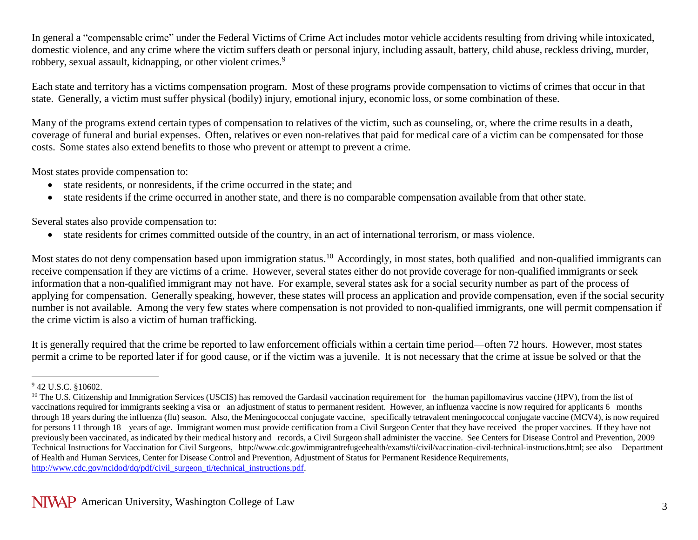In general a "compensable crime" under the Federal Victims of Crime Act includes motor vehicle accidents resulting from driving while intoxicated, domestic violence, and any crime where the victim suffers death or personal injury, including assault, battery, child abuse, reckless driving, murder, robbery, sexual assault, kidnapping, or other violent crimes.<sup>9</sup>

Each state and territory has a victims compensation program. Most of these programs provide compensation to victims of crimes that occur in that state. Generally, a victim must suffer physical (bodily) injury, emotional injury, economic loss, or some combination of these.

Many of the programs extend certain types of compensation to relatives of the victim, such as counseling, or, where the crime results in a death, coverage of funeral and burial expenses. Often, relatives or even non-relatives that paid for medical care of a victim can be compensated for those costs. Some states also extend benefits to those who prevent or attempt to prevent a crime.

Most states provide compensation to:

- state residents, or nonresidents, if the crime occurred in the state; and
- state residents if the crime occurred in another state, and there is no comparable compensation available from that other state.

Several states also provide compensation to:

state residents for crimes committed outside of the country, in an act of international terrorism, or mass violence.

Most states do not deny compensation based upon immigration status.<sup>10</sup> Accordingly, in most states, both qualified and non-qualified immigrants can receive compensation if they are victims of a crime. However, several states either do not provide coverage for non-qualified immigrants or seek information that a non-qualified immigrant may not have. For example, several states ask for a social security number as part of the process of applying for compensation. Generally speaking, however, these states will process an application and provide compensation, even if the social security number is not available. Among the very few states where compensation is not provided to non-qualified immigrants, one will permit compensation if the crime victim is also a victim of human trafficking.

It is generally required that the crime be reported to law enforcement officials within a certain time period—often 72 hours. However, most states permit a crime to be reported later if for good cause, or if the victim was a juvenile. It is not necessary that the crime at issue be solved or that the

 $\overline{a}$ 

<sup>9</sup> 42 U.S.C. §10602.

 $10$  The U.S. Citizenship and Immigration Services (USCIS) has removed the Gardasil vaccination requirement for the human papillomavirus vaccine (HPV), from the list of vaccinations required for immigrants seeking a visa or an adjustment of status to permanent resident. However, an influenza vaccine is now required for applicants 6 months through 18 years during the influenza (flu) season. Also, the Meningococcal conjugate vaccine, specifically tetravalent meningococcal conjugate vaccine (MCV4), is now required for persons 11 through 18 years of age. Immigrant women must provide certification from a Civil Surgeon Center that they have received the proper vaccines. If they have not previously been vaccinated, as indicated by their medical history and records, a Civil Surgeon shall administer the vaccine. See Centers for Disease Control and Prevention, 2009 Technical Instructions for Vaccination for Civil Surgeons, [http://www.cdc.gov/immigrantrefugeehealth/exams/ti/civil/vaccination-civil-technical-instructions.html;](http://www.cdc.gov/immigrantrefugeehealth/exams/ti/civil/vaccination-civil-technical-instructions.html%3B) see also Department of Health and Human Services, Center for Disease Control and Prevention, Adjustment of Status for Permanent Residence Requirements, [http://www.cdc.gov/ncidod/dq/pdf/civil\\_surgeon\\_ti/technical\\_instructions.pdf.](http://www.cdc.gov/ncidod/dq/pdf/civil_surgeon_ti/technical_instructions.pdf)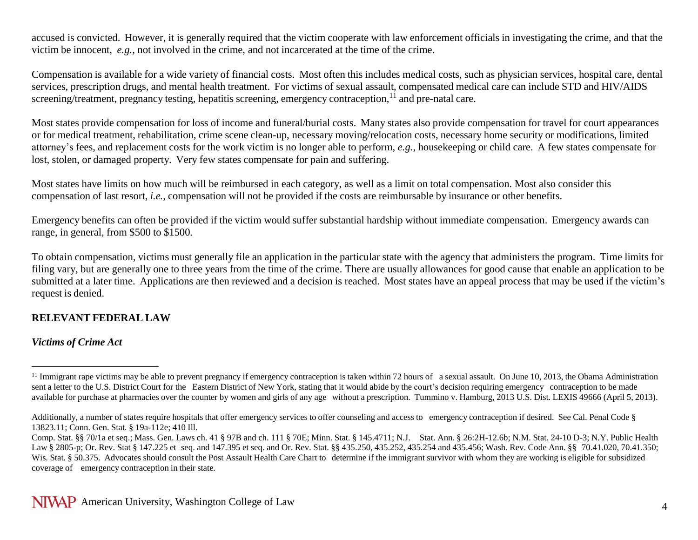accused is convicted. However, it is generally required that the victim cooperate with law enforcement officials in investigating the crime, and that the victim be innocent, *e.g.*, not involved in the crime, and not incarcerated at the time of the crime.

Compensation is available for a wide variety of financial costs. Most often this includes medical costs, such as physician services, hospital care, dental services, prescription drugs, and mental health treatment. For victims of sexual assault, compensated medical care can include STD and HIV/AIDS screening/treatment, pregnancy testing, hepatitis screening, emergency contraception,<sup>11</sup> and pre-natal care.

Most states provide compensation for loss of income and funeral/burial costs. Many states also provide compensation for travel for court appearances or for medical treatment, rehabilitation, crime scene clean-up, necessary moving/relocation costs, necessary home security or modifications, limited attorney's fees, and replacement costs for the work victim is no longer able to perform, *e.g.*, housekeeping or child care. A few states compensate for lost, stolen, or damaged property. Very few states compensate for pain and suffering.

Most states have limits on how much will be reimbursed in each category, as well as a limit on total compensation. Most also consider this compensation of last resort, *i.e.*, compensation will not be provided if the costs are reimbursable by insurance or other benefits.

Emergency benefits can often be provided if the victim would suffer substantial hardship without immediate compensation. Emergency awards can range, in general, from \$500 to \$1500.

To obtain compensation, victims must generally file an application in the particular state with the agency that administers the program. Time limits for filing vary, but are generally one to three years from the time of the crime. There are usually allowances for good cause that enable an application to be submitted at a later time. Applications are then reviewed and a decision is reached. Most states have an appeal process that may be used if the victim's request is denied.

#### **RELEVANT FEDERAL LAW**

#### *Victims of Crime Act*

 $\overline{a}$ 

<sup>&</sup>lt;sup>11</sup> Immigrant rape victims may be able to prevent pregnancy if emergency contraception is taken within 72 hours of a sexual assault. On June 10, 2013, the Obama Administration sent a letter to the U.S. District Court for the Eastern District of New York, stating that it would abide by the court's decision requiring emergency contraception to be made available for purchase at pharmacies over the counter by women and girls of any age without a prescription. Tummino v. Hamburg, 2013 U.S. Dist. LEXIS 49666 (April 5, 2013).

Additionally, a number of states require hospitals that offer emergency services to offer counseling and access to emergency contraception if desired. See Cal. Penal Code § 13823.11; Conn. Gen. Stat. § 19a-112e; 410 Ill.

Comp. Stat. §§ 70/1a et seq.; Mass. Gen. Laws ch. 41 § 97B and ch. 111 § 70E; Minn. Stat. § 145.4711; N.J. Stat. Ann. § 26:2H-12.6b; N.M. Stat. 24-10 D-3; N.Y. Public Health Law § 2805-p; Or. Rev. Stat § 147.225 et seq. and 147.395 et seq. and Or. Rev. Stat. §§ 435.250, 435.252, 435.254 and 435.456; Wash. Rev. Code Ann. §§ 70.41.020, 70.41.350; Wis. Stat. § 50.375. Advocates should consult the Post Assault Health Care Chart to determine if the immigrant survivor with whom they are working is eligible for subsidized coverage of emergency contraception in their state.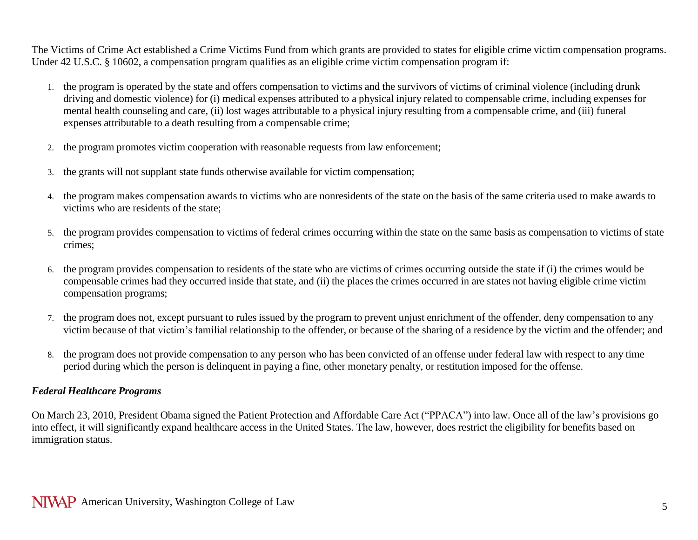The Victims of Crime Act established a Crime Victims Fund from which grants are provided to states for eligible crime victim compensation programs. Under 42 U.S.C. § 10602, a compensation program qualifies as an eligible crime victim compensation program if:

- 1. the program is operated by the state and offers compensation to victims and the survivors of victims of criminal violence (including drunk driving and domestic violence) for (i) medical expenses attributed to a physical injury related to compensable crime, including expenses for mental health counseling and care, (ii) lost wages attributable to a physical injury resulting from a compensable crime, and (iii) funeral expenses attributable to a death resulting from a compensable crime;
- 2. the program promotes victim cooperation with reasonable requests from law enforcement;
- 3. the grants will not supplant state funds otherwise available for victim compensation;
- 4. the program makes compensation awards to victims who are nonresidents of the state on the basis of the same criteria used to make awards to victims who are residents of the state;
- 5. the program provides compensation to victims of federal crimes occurring within the state on the same basis as compensation to victims of state crimes;
- 6. the program provides compensation to residents of the state who are victims of crimes occurring outside the state if (i) the crimes would be compensable crimes had they occurred inside that state, and (ii) the places the crimes occurred in are states not having eligible crime victim compensation programs;
- 7. the program does not, except pursuant to rules issued by the program to prevent unjust enrichment of the offender, deny compensation to any victim because of that victim's familial relationship to the offender, or because of the sharing of a residence by the victim and the offender; and
- 8. the program does not provide compensation to any person who has been convicted of an offense under federal law with respect to any time period during which the person is delinquent in paying a fine, other monetary penalty, or restitution imposed for the offense.

### *Federal Healthcare Programs*

On March 23, 2010, President Obama signed the Patient Protection and Affordable Care Act ("PPACA") into law. Once all of the law's provisions go into effect, it will significantly expand healthcare access in the United States. The law, however, does restrict the eligibility for benefits based on immigration status.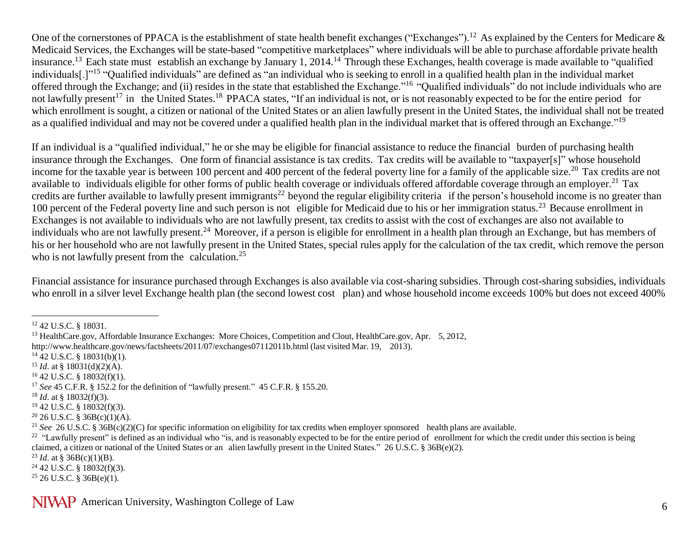One of the cornerstones of PPACA is the establishment of state health benefit exchanges ("Exchanges").<sup>12</sup> As explained by the Centers for Medicare  $\&$ Medicaid Services, the Exchanges will be state-based "competitive marketplaces" where individuals will be able to purchase affordable private health insurance.<sup>13</sup> Each state must establish an exchange by January 1, 2014.<sup>14</sup> Through these Exchanges, health coverage is made available to "qualified" individuals[.]"<sup>15</sup> "Qualified individuals" are defined as "an individual who is seeking to enroll in a qualified health plan in the individual market offered through the Exchange; and (ii) resides in the state that established the Exchange."<sup>16</sup> "Qualified individuals" do not include individuals who are not lawfully present<sup>17</sup> in the United States.<sup>18</sup> PPACA states, "If an individual is not, or is not reasonably expected to be for the entire period for which enrollment is sought, a citizen or national of the United States or an alien lawfully present in the United States, the individual shall not be treated as a qualified individual and may not be covered under a qualified health plan in the individual market that is offered through an Exchange."<sup>19</sup>

If an individual is a "qualified individual," he or she may be eligible for financial assistance to reduce the financial burden of purchasing health insurance through the Exchanges. One form of financial assistance is tax credits. Tax credits will be available to "taxpayer[s]" whose household income for the taxable year is between 100 percent and 400 percent of the federal poverty line for a family of the applicable size.<sup>20</sup> Tax credits are not available to individuals eligible for other forms of public health coverage or individuals offered affordable coverage through an employer.<sup>21</sup> Tax credits are further available to lawfully present immigrants<sup>22</sup> beyond the regular eligibility criteria if the person's household income is no greater than 100 percent of the Federal poverty line and such person is not eligible for Medicaid due to his or her immigration status.<sup>23</sup> Because enrollment in Exchanges is not available to individuals who are not lawfully present, tax credits to assist with the cost of exchanges are also not available to individuals who are not lawfully present.<sup>24</sup> Moreover, if a person is eligible for enrollment in a health plan through an Exchange, but has members of his or her household who are not lawfully present in the United States, special rules apply for the calculation of the tax credit, which remove the person who is not lawfully present from the calculation.<sup>25</sup>

Financial assistance for insurance purchased through Exchanges is also available via cost-sharing subsidies. Through cost-sharing subsidies, individuals who enroll in a silver level Exchange health plan (the second lowest cost plan) and whose household income exceeds 100% but does not exceed 400%

 $\overline{a}$ 

<sup>23</sup> *Id.* at § 36B(c)(1)(B).

NIVAP American University, Washington College of Law 6

<sup>12</sup> 42 U.S.C. § 18031.

<sup>&</sup>lt;sup>13</sup> HealthCare.gov, Affordable Insurance Exchanges: More Choices, Competition and Clout, HealthCare.gov, Apr. 5, 2012,

<http://www.healthcare.gov/news/factsheets/2011/07/exchanges07112011b.html> (last visited Mar. 19, 2013).

 $14$  42 U.S.C. § 18031(b)(1).

<sup>15</sup> *Id*. at § 18031(d)(2)(A).

<sup>16</sup> 42 U.S.C. § 18032(f)(1).

<sup>17</sup> *See* 45 C.F.R. § 152.2 for the definition of "lawfully present." 45 C.F.R. § 155.20.

 $18$  *Id.* at § 18032(f)(3).

 $19$  42 U.S.C. §  $18032(f)(3)$ .

 $20$  26 U.S.C. § 36B(c)(1)(A).

<sup>&</sup>lt;sup>21</sup> *See* 26 U.S.C. § 36B(c)(2)(C) for specific information on eligibility for tax credits when employer sponsored health plans are available.

<sup>&</sup>lt;sup>22</sup> "Lawfully present" is defined as an individual who "is, and is reasonably expected to be for the entire period of enrollment for which the credit under this section is being claimed, a citizen or national of the United States or an alien lawfully present in the United States." 26 U.S.C. § 36B(e)(2).

 $24$  42 U.S.C. § 18032(f)(3).

 $25$  26 U.S.C. § 36B(e)(1).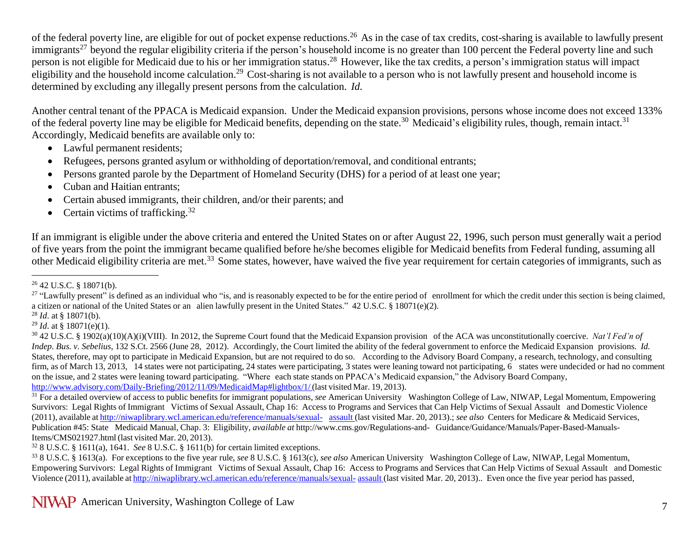of the federal poverty line, are eligible for out of pocket expense reductions.<sup>26</sup> As in the case of tax credits, cost-sharing is available to lawfully present immigrants<sup>27</sup> beyond the regular eligibility criteria if the person's household income is no greater than 100 percent the Federal poverty line and such person is not eligible for Medicaid due to his or her immigration status.<sup>28</sup> However, like the tax credits, a person's immigration status will impact eligibility and the household income calculation.<sup>29</sup> Cost-sharing is not available to a person who is not lawfully present and household income is determined by excluding any illegally present persons from the calculation. *Id.*

Another central tenant of the PPACA is Medicaid expansion. Under the Medicaid expansion provisions, persons whose income does not exceed 133% of the federal poverty line may be eligible for Medicaid benefits, depending on the state.<sup>30</sup> Medicaid's eligibility rules, though, remain intact.<sup>31</sup> Accordingly, Medicaid benefits are available only to:

- Lawful permanent residents;
- Refugees, persons granted asylum or withholding of deportation/removal, and conditional entrants;
- Persons granted parole by the Department of Homeland Security (DHS) for a period of at least one year;
- Cuban and Haitian entrants;
- Certain abused immigrants, their children, and/or their parent[s;](http://www.nilc.org/overview-immeligfedprograms.html%23note4) and
- Certain victims of trafficking.<sup>32</sup>

If an immigrant is eligible under the above criteria and entered the United States on or after August 22, 1996, such person must generally wait a period of five years from the point the immigrant became qualified before he/she becomes eligible for Medicaid benefits from Federal funding, assuming all other Medicaid eligibility criteria are met.<sup>33</sup> Some states, however, have waived the five year requirement for certain categories of immigrants, such as

 $\overline{a}$  $26$  42 U.S.C. § 18071(b).

<sup>&</sup>lt;sup>27</sup> "Lawfully present" is defined as an individual who "is, and is reasonably expected to be for the entire period of enrollment for which the credit under this section is being claimed, a citizen or national of the United States or an alien lawfully present in the United States." 42 U.S.C. § 18071(e)(2).

<sup>28</sup> *Id*. at § 18071(b).

<sup>&</sup>lt;sup>29</sup> *Id.* at § 18071(e)(1).

<sup>30</sup> 42 U.S.C. § 1902(a)(10)(A)(i)(VIII). In 2012, the Supreme Court found that the Medicaid Expansion provision of the ACA was unconstitutionally coercive. *Nat'l Fed'n of Indep. Bus. v. Sebelius*, 132 S.Ct. 2566 (June 28, 2012). Accordingly, the Court limited the ability of the federal government to enforce the Medicaid Expansion provisions. *Id.* States, therefore, may opt to participate in Medicaid Expansion, but are not required to do so. According to the Advisory Board Company, a research, technology, and consulting firm, as of March 13, 2013, 14 states were not participating, 24 states were participating, 3 states were leaning toward not participating, 6 states were undecided or had no comment on the issue, and 2 states were leaning toward participating. "Where each state stands on PPACA's Medicaid expansion," the Advisory Board Company, [http://www.advisory.com/Daily-Briefing/2012/11/09/MedicaidMap#lightbox/1/](http://www.advisory.com/Daily-Briefing/2012/11/09/MedicaidMap%23lightbox/1/) (last visited Mar. 19, 2013).

<sup>&</sup>lt;sup>31</sup> For a detailed overview of access to public benefits for immigrant populations, *see* American University Washington College of Law, NIWAP, Legal Momentum, Empowering Survivors: Legal Rights of Immigrant Victims of Sexual Assault, Chap 16: Access to Programs and Services that Can Help Victims of Sexual Assault and Domestic Violence (2011), available at [http://niwaplibrary.wcl.american.edu/reference/manuals/sexual- assault](http://niwaplibrary.wcl.american.edu/reference/manuals/sexual-assault) (last visited Mar. 20, 2013).; *see also* Centers for Medicare & Medicaid Services, Publication #45: State Medicaid Manual, Chap. 3: Eligibility, *available at* <http://www.cms.gov/Regulations-and-> Guidance/Guidance/Manuals/Paper-Based-Manuals-Items/CMS021927.html (last visited Mar. 20, 2013).

<sup>32</sup> 8 U.S.C. § 1611(a), 1641. *See* 8 U.S.C. § 1611(b) for certain limited exceptions.

<sup>33</sup> 8 U.S.C. § 1613(a). For exceptions to the five year rule, *see* 8 U.S.C. § 1613(c), *see also* American University Washington College of Law, NIWAP, Legal Momentum, Empowering Survivors: Legal Rights of Immigrant Victims of Sexual Assault, Chap 16: Access to Programs and Services that Can Help Victims of Sexual Assault and Domestic Violence (2011), available at [http://niwaplibrary.wcl.american.edu/reference/manuals/sexual-](http://niwaplibrary.wcl.american.edu/reference/manuals/sexual-assault) [assault](http://niwaplibrary.wcl.american.edu/reference/manuals/sexual-assault) (last visited Mar. 20, 2013).. Even once the five year period has passed,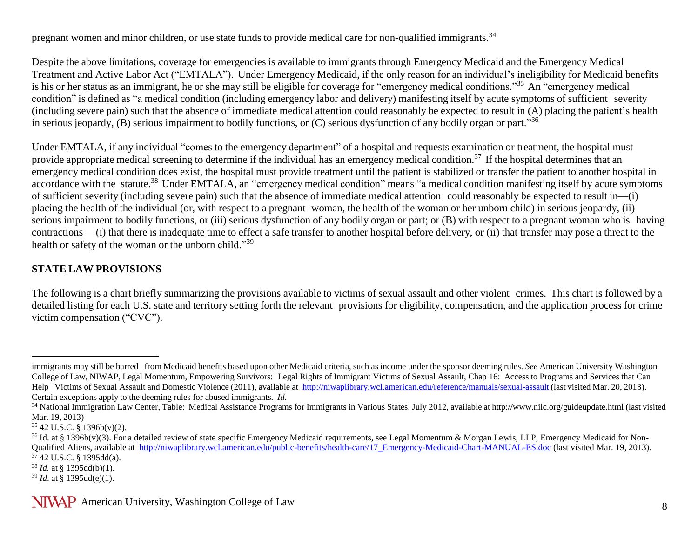pregnant women and minor children, or use state funds to provide medical care for non-qualified immigrants.<sup>34</sup>

Despite the above limitations, coverage for emergencies is available to immigrants through Emergency Medicaid and the Emergency Medical Treatment and Active Labor Act ("EMTALA"). Under Emergency Medicaid, if the only reason for an individual's ineligibility for Medicaid benefits is his or her status as an immigrant, he or she may still be eligible for coverage for "emergency medical conditions."<sup>35</sup> An "emergency medical condition" is defined as "a medical condition (including emergency labor and delivery) manifesting itself by acute symptoms of sufficient severity (including severe pain) such that the absence of immediate medical attention could reasonably be expected to result in (A) placing the patient's health in serious jeopardy, (B) serious impairment to bodily functions, or (C) serious dysfunction of any bodily organ or part."<sup>36</sup>

Under EMTALA, if any individual "comes to the emergency department" of a hospital and requests examination or treatment, the hospital must provide appropriate medical screening to determine if the individual has an emergency medical condition.<sup>37</sup> If the hospital determines that an emergency medical condition does exist, the hospital must provide treatment until the patient is stabilized or transfer the patient to another hospital in accordance with the statute.<sup>38</sup> Under EMTALA, an "emergency medical condition" means "a medical condition manifesting itself by acute symptoms of sufficient severity (including severe pain) such that the absence of immediate medical attention could reasonably be expected to result in—(i) placing the health of the individual (or, with respect to a pregnant woman, the health of the woman or her unborn child) in serious jeopardy, (ii) serious impairment to bodily functions, or (iii) serious dysfunction of any bodily organ or part; or (B) with respect to a pregnant woman who is having contractions— (i) that there is inadequate time to effect a safe transfer to another hospital before delivery, or (ii) that transfer may pose a threat to the health or safety of the woman or the unborn child."<sup>39</sup>

### **STATE LAW PROVISIONS**

The following is a chart briefly summarizing the provisions available to victims of sexual assault and other violent crimes. This chart is followed by a detailed listing for each U.S. state and territory setting forth the relevant provisions for eligibility, compensation, and the application process for crime victim compensation ("CVC").

 $\overline{a}$ 

NIVAP American University, Washington College of Law 8

immigrants may still be barred from Medicaid benefits based upon other Medicaid criteria, such as income under the sponsor deeming rules. *See* American University Washington College of Law, NIWAP, Legal Momentum, Empowering Survivors: Legal Rights of Immigrant Victims of Sexual Assault, Chap 16: Access to Programs and Services that Can Help Victims of Sexual Assault and Domestic Violence (2011), available at <http://niwaplibrary.wcl.american.edu/reference/manuals/sexual-assault> (last visited Mar. 20, 2013). Certain exceptions apply to the deeming rules for abused immigrants. *Id.*

<sup>&</sup>lt;sup>34</sup> National Immigration Law Center, Table: Medical Assistance Programs for Immigrants in Various States, July 2012, available at <http://www.nilc.org/guideupdate.html> (last visited Mar. 19, 2013)

<sup>35</sup> 42 U.S.C. § 1396b(v)(2).

 $36$  Id. at § 1396b(v)(3). For a detailed review of state specific Emergency Medicaid requirements, see Legal Momentum & Morgan Lewis, LLP, Emergency Medicaid for Non-Qualified Aliens, available at [http://niwaplibrary.wcl.american.edu/public-benefits/health-care/17\\_Emergency-Medicaid-Chart-MANUAL-ES.doc](http://niwaplibrary.wcl.american.edu/public-benefits/health-care/17_Emergency-Medicaid-Chart-MANUAL-ES.doc) (last visited Mar. 19, 2013).  $3\overline{7}$  42 U.S.C. § 1395dd(a).

<sup>38</sup> *Id.* at § 1395dd(b)(1).

<sup>39</sup> *Id*. at § 1395dd(e)(1).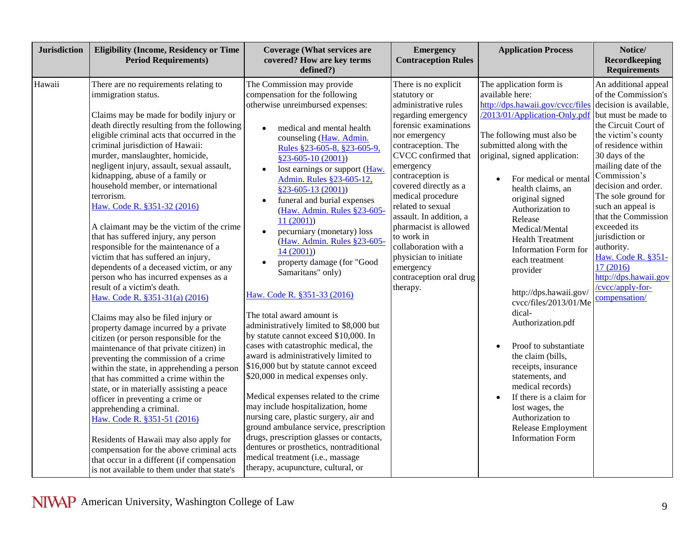| <b>Jurisdiction</b> | <b>Eligibility (Income, Residency or Time</b><br><b>Period Requirements)</b>                                                                                                                                                                                                                                                                                                                                                                                                                                                                                                                                                                                                                                                                                                                                                                                                                                                                                                                                                                                                                                                                                                                                                                                                                                                                                                                                 | <b>Coverage (What services are</b><br>covered? How are key terms<br>defined?)                                                                                                                                                                                                                                                                                                                                                                                                                                                                                                                                                                                                                                                                                                                                                                                                                                                                                                                                                                                                                                                                                                         | <b>Emergency</b><br><b>Contraception Rules</b>                                                                                                                                                                                                                                                                                                                                                                                                        | <b>Application Process</b>                                                                                                                                                                                                                                                                                                                                                                                                                                                                                                                                                                                                                                                                                                                               | Notice/<br><b>Recordkeeping</b><br><b>Requirements</b>                                                                                                                                                                                                                                                                                                                                                                                                                 |
|---------------------|--------------------------------------------------------------------------------------------------------------------------------------------------------------------------------------------------------------------------------------------------------------------------------------------------------------------------------------------------------------------------------------------------------------------------------------------------------------------------------------------------------------------------------------------------------------------------------------------------------------------------------------------------------------------------------------------------------------------------------------------------------------------------------------------------------------------------------------------------------------------------------------------------------------------------------------------------------------------------------------------------------------------------------------------------------------------------------------------------------------------------------------------------------------------------------------------------------------------------------------------------------------------------------------------------------------------------------------------------------------------------------------------------------------|---------------------------------------------------------------------------------------------------------------------------------------------------------------------------------------------------------------------------------------------------------------------------------------------------------------------------------------------------------------------------------------------------------------------------------------------------------------------------------------------------------------------------------------------------------------------------------------------------------------------------------------------------------------------------------------------------------------------------------------------------------------------------------------------------------------------------------------------------------------------------------------------------------------------------------------------------------------------------------------------------------------------------------------------------------------------------------------------------------------------------------------------------------------------------------------|-------------------------------------------------------------------------------------------------------------------------------------------------------------------------------------------------------------------------------------------------------------------------------------------------------------------------------------------------------------------------------------------------------------------------------------------------------|----------------------------------------------------------------------------------------------------------------------------------------------------------------------------------------------------------------------------------------------------------------------------------------------------------------------------------------------------------------------------------------------------------------------------------------------------------------------------------------------------------------------------------------------------------------------------------------------------------------------------------------------------------------------------------------------------------------------------------------------------------|------------------------------------------------------------------------------------------------------------------------------------------------------------------------------------------------------------------------------------------------------------------------------------------------------------------------------------------------------------------------------------------------------------------------------------------------------------------------|
| Hawaii              | There are no requirements relating to<br>immigration status.<br>Claims may be made for bodily injury or<br>death directly resulting from the following<br>eligible criminal acts that occurred in the<br>criminal jurisdiction of Hawaii:<br>murder, manslaughter, homicide,<br>negligent injury, assault, sexual assault,<br>kidnapping, abuse of a family or<br>household member, or international<br>terrorism.<br>Haw. Code R. §351-32 (2016)<br>A claimant may be the victim of the crime<br>that has suffered injury, any person<br>responsible for the maintenance of a<br>victim that has suffered an injury,<br>dependents of a deceased victim, or any<br>person who has incurred expenses as a<br>result of a victim's death.<br>Haw. Code R. §351-31(a) (2016)<br>Claims may also be filed injury or<br>property damage incurred by a private<br>citizen (or person responsible for the<br>maintenance of that private citizen) in<br>preventing the commission of a crime<br>within the state, in apprehending a person<br>that has committed a crime within the<br>state, or in materially assisting a peace<br>officer in preventing a crime or<br>apprehending a criminal.<br>Haw. Code R. §351-51 (2016)<br>Residents of Hawaii may also apply for<br>compensation for the above criminal acts<br>that occur in a different (if compensation<br>is not available to them under that state's | The Commission may provide<br>compensation for the following<br>otherwise unreimbursed expenses:<br>medical and mental health<br>$\bullet$<br>counseling (Haw. Admin.<br>Rules §23-605-8, §23-605-9,<br>$$23-605-10(2001))$<br>lost earnings or support (Haw.<br>Admin. Rules §23-605-12,<br>$$23-605-13(2001))$<br>funeral and burial expenses<br>(Haw. Admin. Rules §23-605-<br>11(2001)<br>pecurniary (monetary) loss<br>$\bullet$<br>(Haw. Admin. Rules §23-605-<br>14(2001)<br>property damage (for "Good<br>Samaritans" only)<br>Haw. Code R. §351-33 (2016)<br>The total award amount is<br>administratively limited to \$8,000 but<br>by statute cannot exceed \$10,000. In<br>cases with catastrophic medical, the<br>award is administratively limited to<br>\$16,000 but by statute cannot exceed<br>\$20,000 in medical expenses only.<br>Medical expenses related to the crime<br>may include hospitalization, home<br>nursing care, plastic surgery, air and<br>ground ambulance service, prescription<br>drugs, prescription glasses or contacts,<br>dentures or prosthetics, nontraditional<br>medical treatment (i.e., massage<br>therapy, acupuncture, cultural, or | There is no explicit<br>statutory or<br>administrative rules<br>regarding emergency<br>forensic examinations<br>nor emergency<br>contraception. The<br>CVCC confirmed that<br>emergency<br>contraception is<br>covered directly as a<br>medical procedure<br>related to sexual<br>assault. In addition, a<br>pharmacist is allowed<br>to work in<br>collaboration with a<br>physician to initiate<br>emergency<br>contraception oral drug<br>therapy. | The application form is<br>available here:<br>http://dps.hawaii.gov/cvcc/files<br>/2013/01/Application-Only.pdf<br>The following must also be<br>submitted along with the<br>original, signed application:<br>For medical or mental<br>$\bullet$<br>health claims, an<br>original signed<br>Authorization to<br>Release<br>Medical/Mental<br><b>Health Treatment</b><br>Information Form for<br>each treatment<br>provider<br>http://dps.hawaii.gov/<br>cvcc/files/2013/01/Me<br>dical-<br>Authorization.pdf<br>Proof to substantiate<br>$\bullet$<br>the claim (bills,<br>receipts, insurance<br>statements, and<br>medical records)<br>If there is a claim for<br>lost wages, the<br>Authorization to<br>Release Employment<br><b>Information Form</b> | An additional appeal<br>of the Commission's<br>decision is available,<br>but must be made to<br>the Circuit Court of<br>the victim's county<br>of residence within<br>30 days of the<br>mailing date of the<br>Commission's<br>decision and order.<br>The sole ground for<br>such an appeal is<br>that the Commission<br>exceeded its<br>jurisdiction or<br>authority.<br>Haw. Code R. §351-<br>17(2016)<br>http://dps.hawaii.gov<br>/cvcc/apply-for-<br>compensation/ |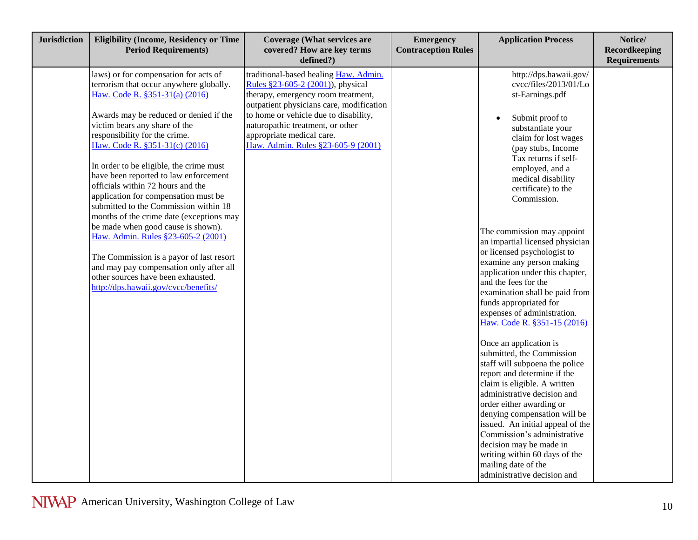| <b>Jurisdiction</b> | <b>Eligibility (Income, Residency or Time</b><br><b>Period Requirements)</b>                                                                                                                                                                                                                                                                                                                                                                                                                                                                                                                                                                                                                                                                                            | <b>Coverage (What services are</b><br>covered? How are key terms<br>defined?)                                                                                                                                                                                                                                | <b>Emergency</b><br><b>Contraception Rules</b> | <b>Application Process</b>                                                                                                                                                                                                                                                                                                                                                                                                                                                                                                                                                                                                                                                                                                                                                                                                                                                                                                                                                                                                | Notice/<br>Recordkeeping<br><b>Requirements</b> |
|---------------------|-------------------------------------------------------------------------------------------------------------------------------------------------------------------------------------------------------------------------------------------------------------------------------------------------------------------------------------------------------------------------------------------------------------------------------------------------------------------------------------------------------------------------------------------------------------------------------------------------------------------------------------------------------------------------------------------------------------------------------------------------------------------------|--------------------------------------------------------------------------------------------------------------------------------------------------------------------------------------------------------------------------------------------------------------------------------------------------------------|------------------------------------------------|---------------------------------------------------------------------------------------------------------------------------------------------------------------------------------------------------------------------------------------------------------------------------------------------------------------------------------------------------------------------------------------------------------------------------------------------------------------------------------------------------------------------------------------------------------------------------------------------------------------------------------------------------------------------------------------------------------------------------------------------------------------------------------------------------------------------------------------------------------------------------------------------------------------------------------------------------------------------------------------------------------------------------|-------------------------------------------------|
|                     | laws) or for compensation for acts of<br>terrorism that occur anywhere globally.<br>Haw. Code R. §351-31(a) (2016)<br>Awards may be reduced or denied if the<br>victim bears any share of the<br>responsibility for the crime.<br>Haw. Code R. §351-31(c) (2016)<br>In order to be eligible, the crime must<br>have been reported to law enforcement<br>officials within 72 hours and the<br>application for compensation must be<br>submitted to the Commission within 18<br>months of the crime date (exceptions may<br>be made when good cause is shown).<br>Haw. Admin. Rules §23-605-2 (2001)<br>The Commission is a payor of last resort<br>and may pay compensation only after all<br>other sources have been exhausted.<br>http://dps.hawaii.gov/cvcc/benefits/ | traditional-based healing Haw. Admin.<br>Rules §23-605-2 (2001)), physical<br>therapy, emergency room treatment,<br>outpatient physicians care, modification<br>to home or vehicle due to disability,<br>naturopathic treatment, or other<br>appropriate medical care.<br>Haw. Admin. Rules §23-605-9 (2001) |                                                | http://dps.hawaii.gov/<br>cvcc/files/2013/01/Lo<br>st-Earnings.pdf<br>Submit proof to<br>substantiate your<br>claim for lost wages<br>(pay stubs, Income<br>Tax returns if self-<br>employed, and a<br>medical disability<br>certificate) to the<br>Commission.<br>The commission may appoint<br>an impartial licensed physician<br>or licensed psychologist to<br>examine any person making<br>application under this chapter,<br>and the fees for the<br>examination shall be paid from<br>funds appropriated for<br>expenses of administration.<br>Haw. Code R. §351-15 (2016)<br>Once an application is<br>submitted, the Commission<br>staff will subpoena the police<br>report and determine if the<br>claim is eligible. A written<br>administrative decision and<br>order either awarding or<br>denying compensation will be<br>issued. An initial appeal of the<br>Commission's administrative<br>decision may be made in<br>writing within 60 days of the<br>mailing date of the<br>administrative decision and |                                                 |